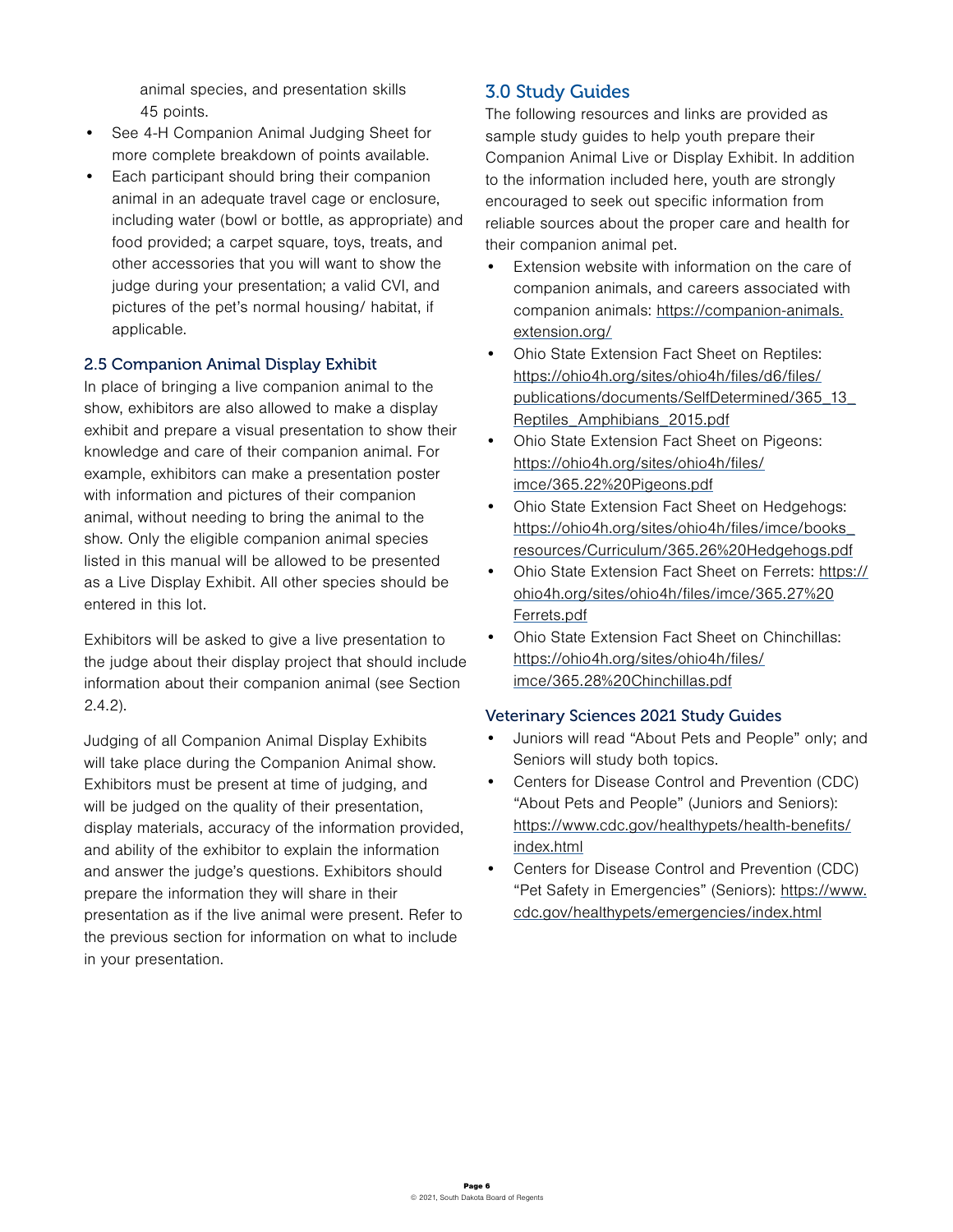animal species, and presentation skills 45 points.

- See 4-H Companion Animal Judging Sheet for more complete breakdown of points available.
- Each participant should bring their companion animal in an adequate travel cage or enclosure, including water (bowl or bottle, as appropriate) and food provided; a carpet square, toys, treats, and other accessories that you will want to show the judge during your presentation; a valid CVI, and pictures of the pet's normal housing/ habitat, if applicable.

### 2.5 Companion Animal Display Exhibit

In place of bringing a live companion animal to the show, exhibitors are also allowed to make a display exhibit and prepare a visual presentation to show their knowledge and care of their companion animal. For example, exhibitors can make a presentation poster with information and pictures of their companion animal, without needing to bring the animal to the show. Only the eligible companion animal species listed in this manual will be allowed to be presented as a Live Display Exhibit. All other species should be entered in this lot.

Exhibitors will be asked to give a live presentation to the judge about their display project that should include information about their companion animal (see Section 2.4.2).

Judging of all Companion Animal Display Exhibits will take place during the Companion Animal show. Exhibitors must be present at time of judging, and will be judged on the quality of their presentation, display materials, accuracy of the information provided, and ability of the exhibitor to explain the information and answer the judge's questions. Exhibitors should prepare the information they will share in their presentation as if the live animal were present. Refer to the previous section for information on what to include in your presentation.

## 3.0 Study Guides

The following resources and links are provided as sample study guides to help youth prepare their Companion Animal Live or Display Exhibit. In addition to the information included here, youth are strongly encouraged to seek out specific information from reliable sources about the proper care and health for their companion animal pet.

- Extension website with information on the care of companion animals, and careers associated with companion animals: [https://companion-animals.](https://companion-animals.extension.org/) [extension.org/](https://companion-animals.extension.org/)
- Ohio State Extension Fact Sheet on Reptiles: [https://ohio4h.org/sites/ohio4h/files/d6/files/](https://ohio4h.org/sites/ohio4h/files/d6/files/publications/documents/SelfDetermined/365_13_Reptiles) [publications/documents/SelfDetermined/365\\_13\\_](https://ohio4h.org/sites/ohio4h/files/d6/files/publications/documents/SelfDetermined/365_13_Reptiles) [Reptiles\\_Amphibians\\_2015.pdf](https://ohio4h.org/sites/ohio4h/files/d6/files/publications/documents/SelfDetermined/365_13_Reptiles)
- Ohio State Extension Fact Sheet on Pigeons: [https://ohio4h.org/sites/ohio4h/files/](https://ohio4h.org/sites/ohio4h/files/imce/365.22%20Pigeons.pdf) [imce/365.22%20Pigeons.pdf](https://ohio4h.org/sites/ohio4h/files/imce/365.22%20Pigeons.pdf)
- Ohio State Extension Fact Sheet on Hedgehogs: [https://ohio4h.org/sites/ohio4h/files/imce/books\\_](https://ohio4h.org/sites/ohio4h/files/imce/books_resources/Curriculum/365.26%20Hedgehogs.pdf) [resources/Curriculum/365.26%20Hedgehogs.pdf](https://ohio4h.org/sites/ohio4h/files/imce/books_resources/Curriculum/365.26%20Hedgehogs.pdf)
- Ohio State Extension Fact Sheet on Ferrets: [https://](https://ohio4h.org/sites/ohio4h/files/imce/365.27%20Ferrets.pdf) [ohio4h.org/sites/ohio4h/files/imce/365.27%20](https://ohio4h.org/sites/ohio4h/files/imce/365.27%20Ferrets.pdf) [Ferrets.pdf](https://ohio4h.org/sites/ohio4h/files/imce/365.27%20Ferrets.pdf)
- Ohio State Extension Fact Sheet on Chinchillas: [https://ohio4h.org/sites/ohio4h/files/](https://ohio4h.org/sites/ohio4h/files/imce/365.28%20Chinchillas.pdf) [imce/365.28%20Chinchillas.pdf](https://ohio4h.org/sites/ohio4h/files/imce/365.28%20Chinchillas.pdf)

#### Veterinary Sciences 2021 Study Guides

- Juniors will read "About Pets and People" only; and Seniors will study both topics.
- Centers for Disease Control and Prevention (CDC) "About Pets and People" (Juniors and Seniors): [https://www.cdc.gov/healthypets/health-benefits/](https://www.cdc.gov/healthypets/health-benefits/index.html) [index.html](https://www.cdc.gov/healthypets/health-benefits/index.html)
- Centers for Disease Control and Prevention (CDC) "Pet Safety in Emergencies" (Seniors): [https://www.](https://www.cdc.gov/healthypets/emergencies/index.html) [cdc.gov/healthypets/emergencies/index.html](https://www.cdc.gov/healthypets/emergencies/index.html)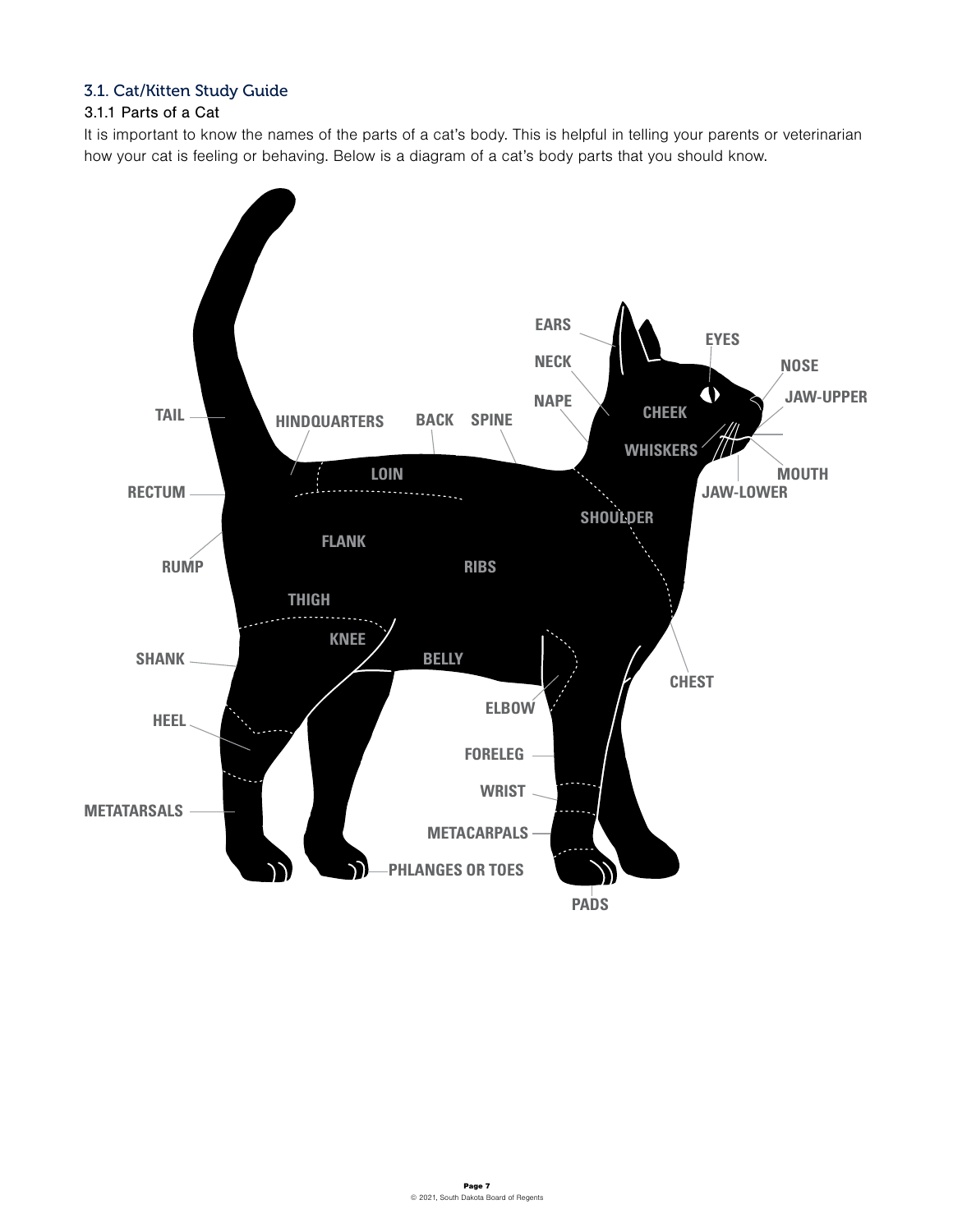## 3.1. Cat/Kitten Study Guide

## 3.1.1 Parts of a Cat

It is important to know the names of the parts of a cat's body. This is helpful in telling your parents or veterinarian how your cat is feeling or behaving. Below is a diagram of a cat's body parts that you should know.

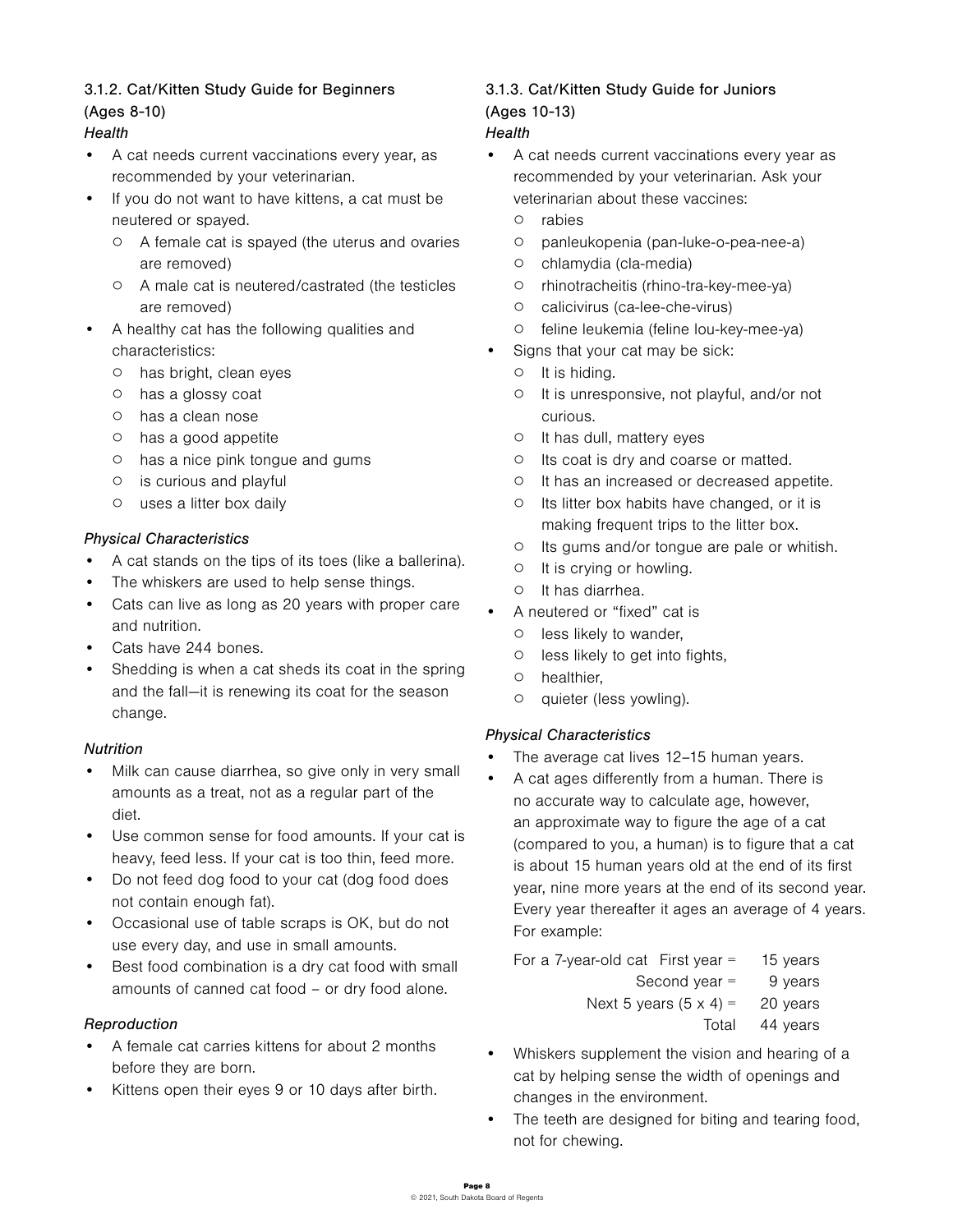## 3.1.2. Cat/Kitten Study Guide for Beginners

## (Ages 8-10)

## *Health*

- A cat needs current vaccinations every year, as recommended by your veterinarian.
- If you do not want to have kittens, a cat must be neutered or spayed.
	- A female cat is spayed (the uterus and ovaries are removed)
	- A male cat is neutered/castrated (the testicles are removed)
- A healthy cat has the following qualities and characteristics:
	- has bright, clean eyes
	- has a glossy coat
	- has a clean nose
	- has a good appetite
	- has a nice pink tongue and gums
	- is curious and playful
	- uses a litter box daily

## *Physical Characteristics*

- A cat stands on the tips of its toes (like a ballerina).
- The whiskers are used to help sense things.
- Cats can live as long as 20 years with proper care and nutrition.
- Cats have 244 bones.
- Shedding is when a cat sheds its coat in the spring and the fall—it is renewing its coat for the season change.

### *Nutrition*

- Milk can cause diarrhea, so give only in very small amounts as a treat, not as a regular part of the diet.
- Use common sense for food amounts. If your cat is heavy, feed less. If your cat is too thin, feed more.
- Do not feed dog food to your cat (dog food does not contain enough fat).
- Occasional use of table scraps is OK, but do not use every day, and use in small amounts.
- Best food combination is a dry cat food with small amounts of canned cat food – or dry food alone.

## *Reproduction*

- A female cat carries kittens for about 2 months before they are born.
- Kittens open their eyes 9 or 10 days after birth.

## 3.1.3. Cat/Kitten Study Guide for Juniors (Ages 10-13)

## *Health*

- A cat needs current vaccinations every year as recommended by your veterinarian. Ask your veterinarian about these vaccines:
	- rabies
	- panleukopenia (pan-luke-o-pea-nee-a)
	- chlamydia (cla-media)
	- rhinotracheitis (rhino-tra-key-mee-ya)
	- calicivirus (ca-lee-che-virus)
	- feline leukemia (feline lou-key-mee-ya)
	- Signs that your cat may be sick:
		- It is hiding.
		- It is unresponsive, not playful, and/or not curious.
		- It has dull, mattery eyes
		- Its coat is dry and coarse or matted.
		- It has an increased or decreased appetite.
		- Its litter box habits have changed, or it is making frequent trips to the litter box.
		- Its gums and/or tongue are pale or whitish.
		- It is crying or howling.
		- It has diarrhea.
	- A neutered or "fixed" cat is
	- less likely to wander,
	- less likely to get into fights,
	- healthier,
	- quieter (less yowling).

## *Physical Characteristics*

- The average cat lives 12-15 human years.
- A cat ages differently from a human. There is no accurate way to calculate age, however, an approximate way to figure the age of a cat (compared to you, a human) is to figure that a cat is about 15 human years old at the end of its first year, nine more years at the end of its second year. Every year thereafter it ages an average of 4 years. For example:

For a 7-year-old cat First year = 
$$
15
$$
 years  
Second year =  $9$  years  
Next 5 years  $(5 \times 4)$  =  $20$  years  
Total 44 years

- Whiskers supplement the vision and hearing of a cat by helping sense the width of openings and changes in the environment.
- The teeth are designed for biting and tearing food, not for chewing.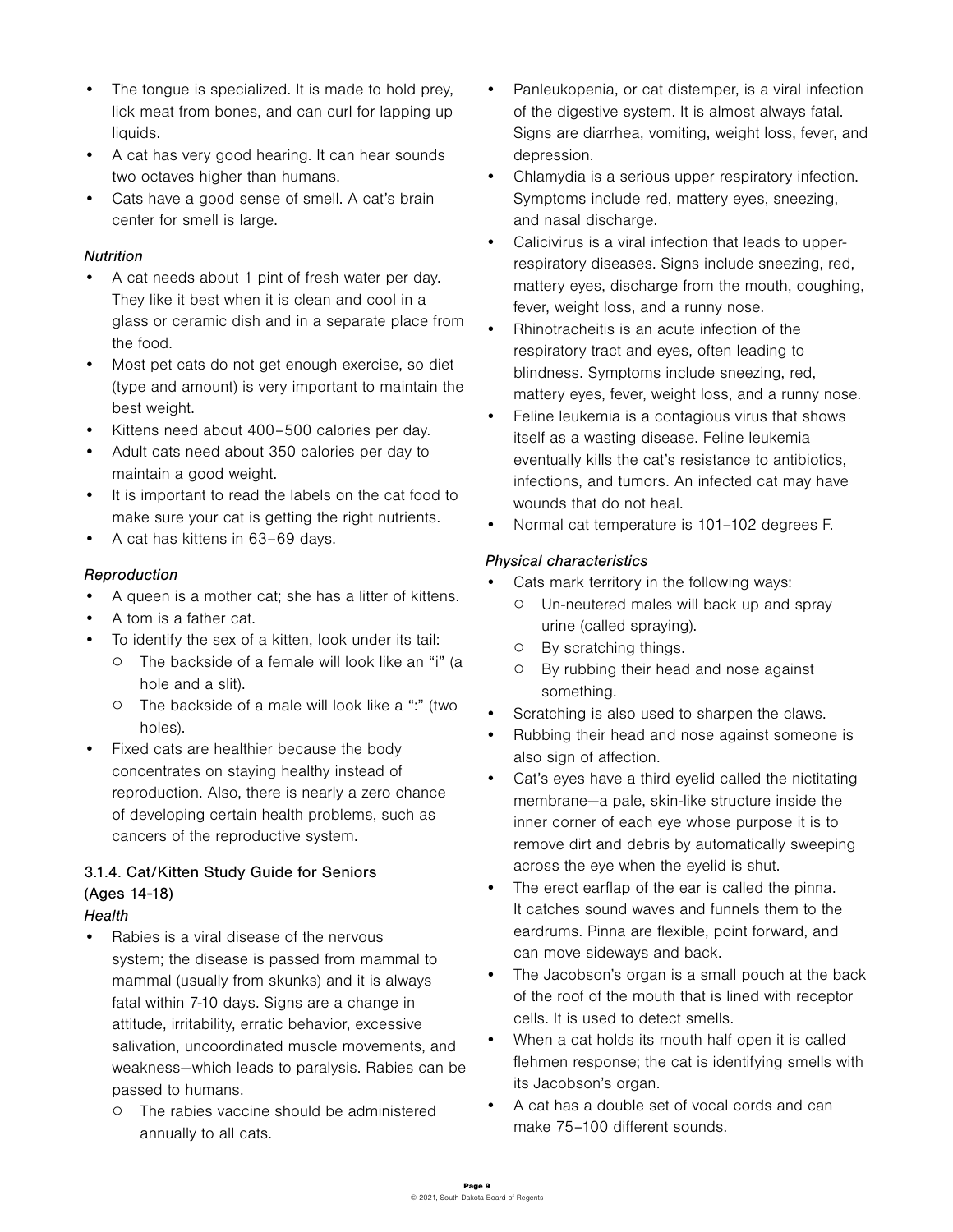- The tongue is specialized. It is made to hold prey, lick meat from bones, and can curl for lapping up liquids.
- A cat has very good hearing. It can hear sounds two octaves higher than humans.
- Cats have a good sense of smell. A cat's brain center for smell is large.

## *Nutrition*

- A cat needs about 1 pint of fresh water per day. They like it best when it is clean and cool in a glass or ceramic dish and in a separate place from the food.
- Most pet cats do not get enough exercise, so diet (type and amount) is very important to maintain the best weight.
- Kittens need about 400–500 calories per day.
- Adult cats need about 350 calories per day to maintain a good weight.
- It is important to read the labels on the cat food to make sure your cat is getting the right nutrients.
- A cat has kittens in 63–69 days.

## *Reproduction*

- A queen is a mother cat; she has a litter of kittens.
- A tom is a father cat.
- To identify the sex of a kitten, look under its tail:
	- The backside of a female will look like an "i" (a hole and a slit).
	- The backside of a male will look like a ":" (two holes).
- Fixed cats are healthier because the body concentrates on staying healthy instead of reproduction. Also, there is nearly a zero chance of developing certain health problems, such as cancers of the reproductive system.

# 3.1.4. Cat/Kitten Study Guide for Seniors (Ages 14-18)

- *Health*
- Rabies is a viral disease of the nervous system; the disease is passed from mammal to mammal (usually from skunks) and it is always fatal within 7-10 days. Signs are a change in attitude, irritability, erratic behavior, excessive salivation, uncoordinated muscle movements, and weakness—which leads to paralysis. Rabies can be passed to humans.
	- The rabies vaccine should be administered annually to all cats.
- Panleukopenia, or cat distemper, is a viral infection of the digestive system. It is almost always fatal. Signs are diarrhea, vomiting, weight loss, fever, and depression.
- Chlamydia is a serious upper respiratory infection. Symptoms include red, mattery eyes, sneezing, and nasal discharge.
- Calicivirus is a viral infection that leads to upperrespiratory diseases. Signs include sneezing, red, mattery eyes, discharge from the mouth, coughing, fever, weight loss, and a runny nose.
- Rhinotracheitis is an acute infection of the respiratory tract and eyes, often leading to blindness. Symptoms include sneezing, red, mattery eyes, fever, weight loss, and a runny nose.
- Feline leukemia is a contagious virus that shows itself as a wasting disease. Feline leukemia eventually kills the cat's resistance to antibiotics, infections, and tumors. An infected cat may have wounds that do not heal.
- Normal cat temperature is 101–102 degrees F.

## *Physical characteristics*

- Cats mark territory in the following ways:
	- Un-neutered males will back up and spray urine (called spraying).
	- By scratching things.
	- By rubbing their head and nose against something.
- Scratching is also used to sharpen the claws.
- Rubbing their head and nose against someone is also sign of affection.
- Cat's eyes have a third eyelid called the nictitating membrane—a pale, skin-like structure inside the inner corner of each eye whose purpose it is to remove dirt and debris by automatically sweeping across the eye when the eyelid is shut.
- The erect earflap of the ear is called the pinna. It catches sound waves and funnels them to the eardrums. Pinna are flexible, point forward, and can move sideways and back.
- The Jacobson's organ is a small pouch at the back of the roof of the mouth that is lined with receptor cells. It is used to detect smells.
- When a cat holds its mouth half open it is called flehmen response; the cat is identifying smells with its Jacobson's organ.
- A cat has a double set of vocal cords and can make 75–100 different sounds.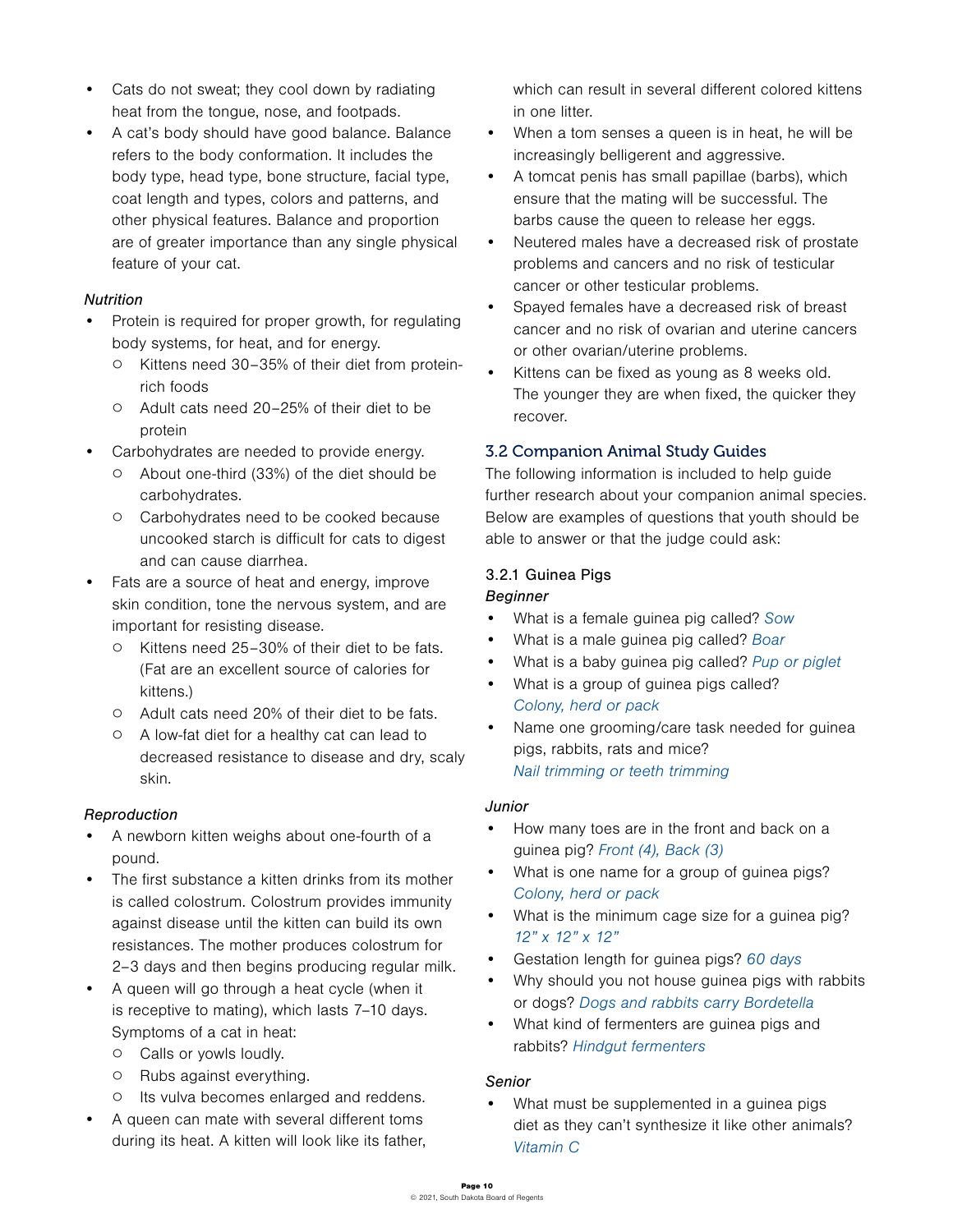- Cats do not sweat; they cool down by radiating heat from the tongue, nose, and footpads.
- A cat's body should have good balance. Balance refers to the body conformation. It includes the body type, head type, bone structure, facial type, coat length and types, colors and patterns, and other physical features. Balance and proportion are of greater importance than any single physical feature of your cat.

### *Nutrition*

- Protein is required for proper growth, for regulating body systems, for heat, and for energy.
	- Kittens need 30–35% of their diet from proteinrich foods
	- Adult cats need 20–25% of their diet to be protein
	- Carbohydrates are needed to provide energy.
		- About one-third (33%) of the diet should be carbohydrates.
		- Carbohydrates need to be cooked because uncooked starch is difficult for cats to digest and can cause diarrhea.
- Fats are a source of heat and energy, improve skin condition, tone the nervous system, and are important for resisting disease.
	- Kittens need 25–30% of their diet to be fats. (Fat are an excellent source of calories for kittens.)
	- Adult cats need 20% of their diet to be fats.
	- A low-fat diet for a healthy cat can lead to decreased resistance to disease and dry, scaly skin.

## *Reproduction*

- A newborn kitten weighs about one-fourth of a pound.
- The first substance a kitten drinks from its mother is called colostrum. Colostrum provides immunity against disease until the kitten can build its own resistances. The mother produces colostrum for 2–3 days and then begins producing regular milk.
- A queen will go through a heat cycle (when it is receptive to mating), which lasts 7–10 days. Symptoms of a cat in heat:
	- Calls or yowls loudly.
	- Rubs against everything.
	- Its vulva becomes enlarged and reddens.
- A queen can mate with several different toms during its heat. A kitten will look like its father,

which can result in several different colored kittens in one litter.

- When a tom senses a queen is in heat, he will be increasingly belligerent and aggressive.
- A tomcat penis has small papillae (barbs), which ensure that the mating will be successful. The barbs cause the queen to release her eggs.
- Neutered males have a decreased risk of prostate problems and cancers and no risk of testicular cancer or other testicular problems.
- Spayed females have a decreased risk of breast cancer and no risk of ovarian and uterine cancers or other ovarian/uterine problems.
- Kittens can be fixed as young as 8 weeks old. The younger they are when fixed, the quicker they recover.

## 3.2 Companion Animal Study Guides

The following information is included to help guide further research about your companion animal species. Below are examples of questions that youth should be able to answer or that the judge could ask:

## 3.2.1 Guinea Pigs

## *Beginner*

- What is a female guinea pig called? Sow
- What is a male quinea pig called? Boar
- What is a baby guinea pig called? Pup or piglet
- What is a group of guinea pigs called? Colony, herd or pack
- Name one grooming/care task needed for guinea pigs, rabbits, rats and mice? Nail trimming or teeth trimming

### *Junior*

- How many toes are in the front and back on a guinea pig? Front (4), Back (3)
- What is one name for a group of guinea pigs? Colony, herd or pack
- What is the minimum cage size for a guinea pig? 12" x 12" x 12"
- Gestation length for guinea pigs? 60 days
- Why should you not house guinea pigs with rabbits or dogs? Dogs and rabbits carry Bordetella
- What kind of fermenters are guinea pigs and rabbits? Hindgut fermenters

## *Senior*

• What must be supplemented in a guinea pigs diet as they can't synthesize it like other animals? Vitamin C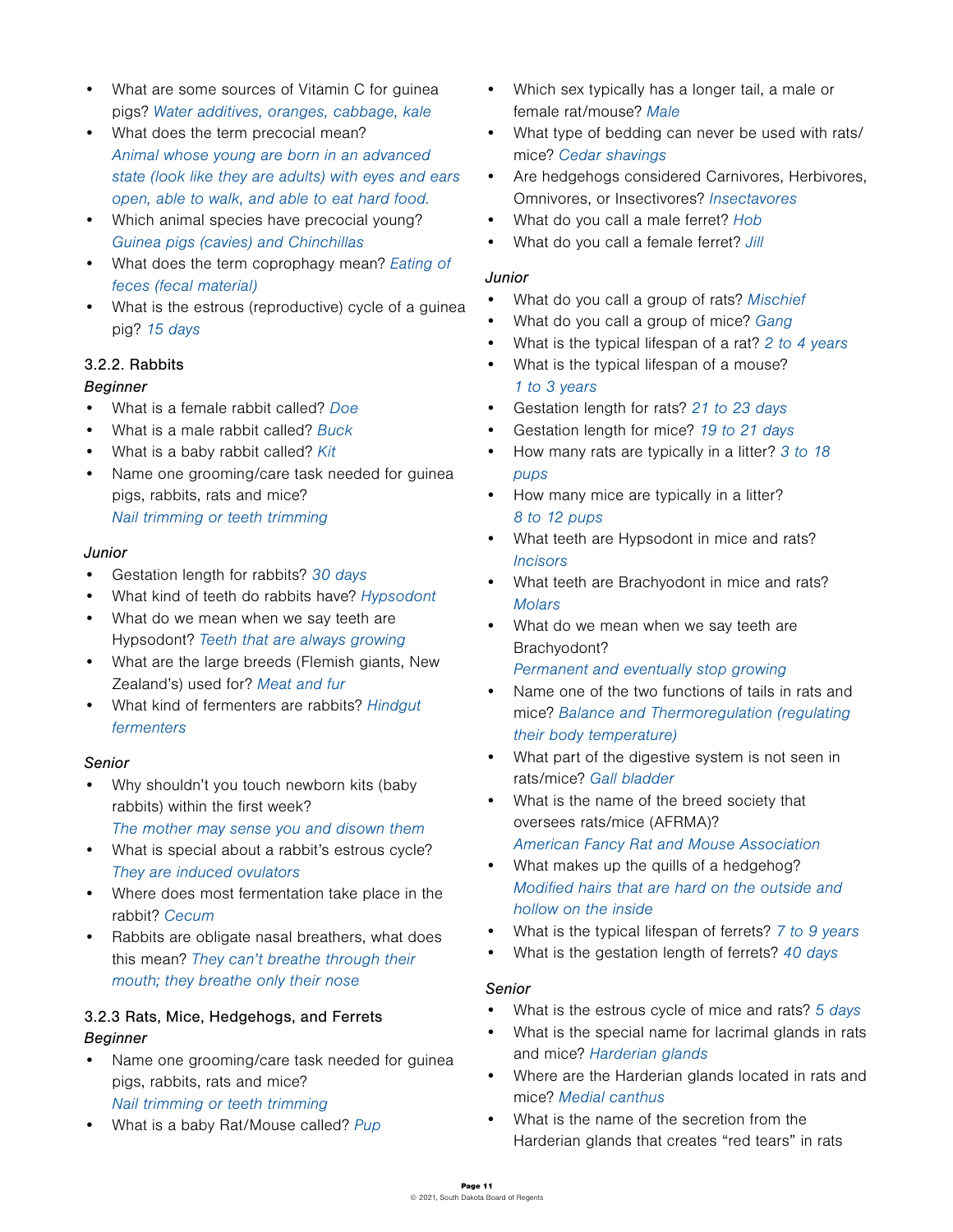- What are some sources of Vitamin C for guinea pigs? Water additives, oranges, cabbage, kale
- What does the term precocial mean? Animal whose young are born in an advanced state (look like they are adults) with eyes and ears open, able to walk, and able to eat hard food.
- Which animal species have precocial young? Guinea pigs (cavies) and Chinchillas
- What does the term coprophagy mean? Eating of feces (fecal material)
- What is the estrous (reproductive) cycle of a guinea pig? 15 days

## 3.2.2. Rabbits

### *Beginner*

- What is a female rabbit called? Doe
- What is a male rabbit called? Buck
- What is a baby rabbit called? Kit
- Name one grooming/care task needed for guinea pigs, rabbits, rats and mice? Nail trimming or teeth trimming

#### *Junior*

- Gestation length for rabbits? 30 days
- What kind of teeth do rabbits have? Hypsodont
- What do we mean when we say teeth are Hypsodont? Teeth that are always growing
- What are the large breeds (Flemish giants, New Zealand's) used for? Meat and fur
- What kind of fermenters are rabbits? Hindgut fermenters

### *Senior*

- Why shouldn't you touch newborn kits (baby rabbits) within the first week?
	- The mother may sense you and disown them
- What is special about a rabbit's estrous cycle? They are induced ovulators
- Where does most fermentation take place in the rabbit? Cecum
- Rabbits are obligate nasal breathers, what does this mean? They can't breathe through their mouth; they breathe only their nose

## 3.2.3 Rats, Mice, Hedgehogs, and Ferrets *Beginner*

- Name one grooming/care task needed for guinea pigs, rabbits, rats and mice? Nail trimming or teeth trimming
- What is a baby Rat/Mouse called? Pup
- Which sex typically has a longer tail, a male or female rat/mouse? Male
- What type of bedding can never be used with rats/ mice? Cedar shavings
- Are hedgehogs considered Carnivores, Herbivores, Omnivores, or Insectivores? Insectavores
- What do you call a male ferret? Hob
- What do you call a female ferret? Jill

#### *Junior*

- What do you call a group of rats? Mischief
- What do you call a group of mice? Gang
- What is the typical lifespan of a rat? 2 to 4 years
- What is the typical lifespan of a mouse? 1 to 3 years
- Gestation length for rats? 21 to 23 days
- Gestation length for mice? 19 to 21 days
- How many rats are typically in a litter? 3 to 18 pups
- How many mice are typically in a litter? 8 to 12 pups
- What teeth are Hypsodont in mice and rats? **Incisors**
- What teeth are Brachyodont in mice and rats? **Molars**
- What do we mean when we say teeth are Brachyodont?

Permanent and eventually stop growing

- Name one of the two functions of tails in rats and mice? Balance and Thermoregulation (regulating their body temperature)
- What part of the digestive system is not seen in rats/mice? Gall bladder
- What is the name of the breed society that oversees rats/mice (AFRMA)? American Fancy Rat and Mouse Association
- What makes up the quills of a hedgehog? Modified hairs that are hard on the outside and hollow on the inside
- What is the typical lifespan of ferrets? 7 to 9 years
- What is the gestation length of ferrets? 40 days

#### *Senior*

- What is the estrous cycle of mice and rats? 5 days
- What is the special name for lacrimal glands in rats and mice? Harderian glands
- Where are the Harderian glands located in rats and mice? Medial canthus
- What is the name of the secretion from the Harderian glands that creates "red tears" in rats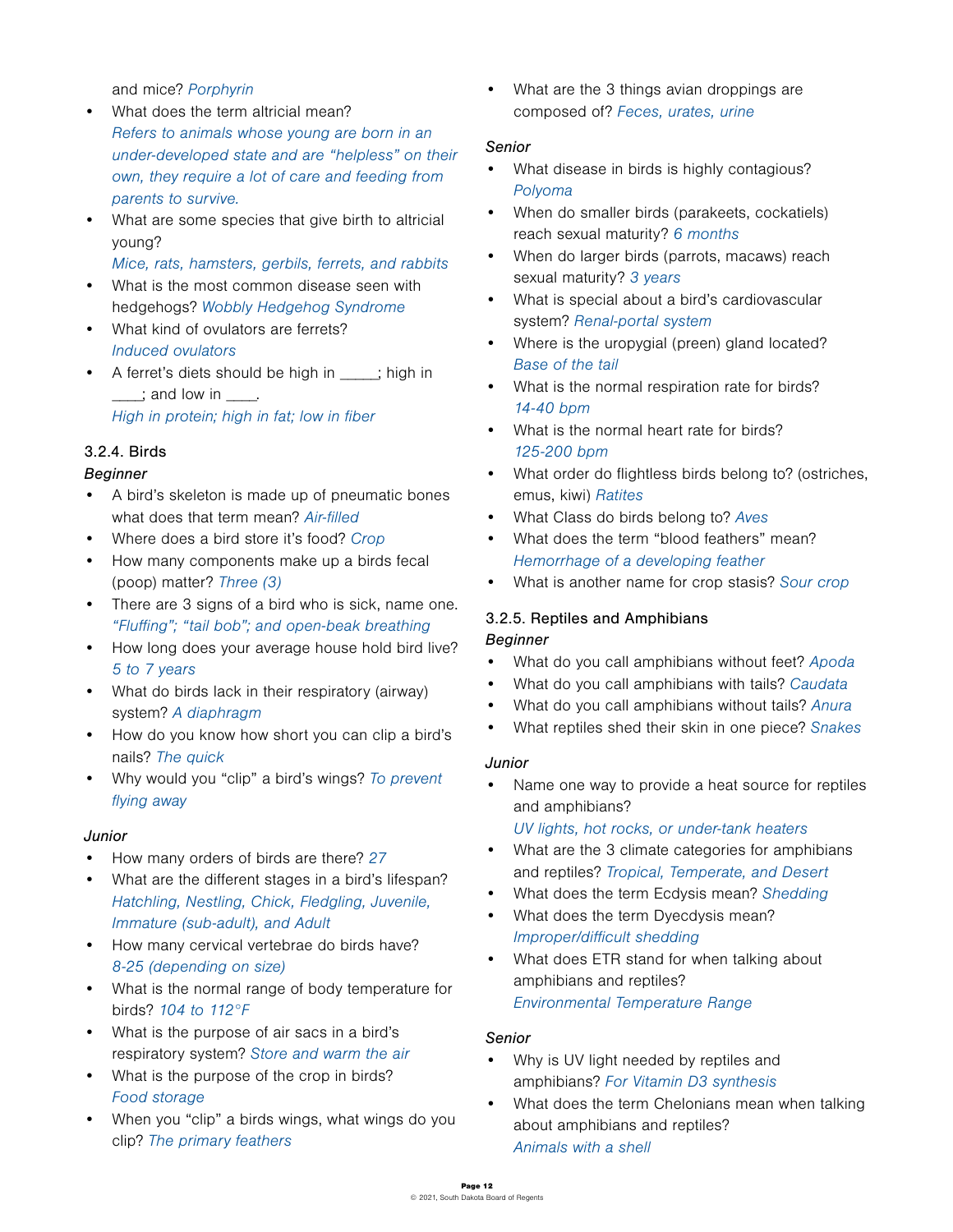and mice? Porphyrin

- What does the term altricial mean? Refers to animals whose young are born in an under-developed state and are "helpless" on their own, they require a lot of care and feeding from parents to survive.
- What are some species that give birth to altricial young?

Mice, rats, hamsters, gerbils, ferrets, and rabbits

- What is the most common disease seen with hedgehogs? Wobbly Hedgehog Syndrome
- What kind of ovulators are ferrets? Induced ovulators
- A ferret's diets should be high in ; high in  $\equiv$ ; and low in  $\equiv$

High in protein; high in fat; low in fiber

## 3.2.4. Birds

#### *Beginner*

- A bird's skeleton is made up of pneumatic bones what does that term mean? Air-filled
- Where does a bird store it's food? Crop
- How many components make up a birds fecal (poop) matter? Three (3)
- There are 3 signs of a bird who is sick, name one. "Fluffing"; "tail bob"; and open-beak breathing
- How long does your average house hold bird live? 5 to 7 years
- What do birds lack in their respiratory (airway) system? A diaphragm
- How do you know how short you can clip a bird's nails? The quick
- Why would you "clip" a bird's wings? To prevent flying away

#### *Junior*

- How many orders of birds are there? 27
- What are the different stages in a bird's lifespan? Hatchling, Nestling, Chick, Fledgling, Juvenile, Immature (sub-adult), and Adult
- How many cervical vertebrae do birds have? 8-25 (depending on size)
- What is the normal range of body temperature for birds? 104 to 112°F
- What is the purpose of air sacs in a bird's respiratory system? Store and warm the air
- What is the purpose of the crop in birds? Food storage
- When you "clip" a birds wings, what wings do you clip? The primary feathers

• What are the 3 things avian droppings are composed of? Feces, urates, urine

#### *Senior*

- What disease in birds is highly contagious? Polyoma
- When do smaller birds (parakeets, cockatiels) reach sexual maturity? 6 months
- When do larger birds (parrots, macaws) reach sexual maturity? 3 years
- What is special about a bird's cardiovascular system? Renal-portal system
- Where is the uropygial (preen) gland located? Base of the tail
- What is the normal respiration rate for birds? 14-40 bpm
- What is the normal heart rate for birds? 125-200 bpm
- What order do flightless birds belong to? (ostriches, emus, kiwi) Ratites
- What Class do birds belong to? Aves
- What does the term "blood feathers" mean? Hemorrhage of a developing feather
- What is another name for crop stasis? Sour crop

## 3.2.5. Reptiles and Amphibians

### *Beginner*

- What do you call amphibians without feet? Apoda
- What do you call amphibians with tails? Caudata
- What do you call amphibians without tails? Anura
- What reptiles shed their skin in one piece? Snakes

### *Junior*

• Name one way to provide a heat source for reptiles and amphibians?

UV lights, hot rocks, or under-tank heaters

- What are the 3 climate categories for amphibians and reptiles? Tropical, Temperate, and Desert
- What does the term Ecdysis mean? Shedding
- What does the term Dyecdysis mean? Improper/difficult shedding
- What does ETR stand for when talking about amphibians and reptiles? Environmental Temperature Range

### *Senior*

- Why is UV light needed by reptiles and amphibians? For Vitamin D3 synthesis
- What does the term Chelonians mean when talking about amphibians and reptiles? Animals with a shell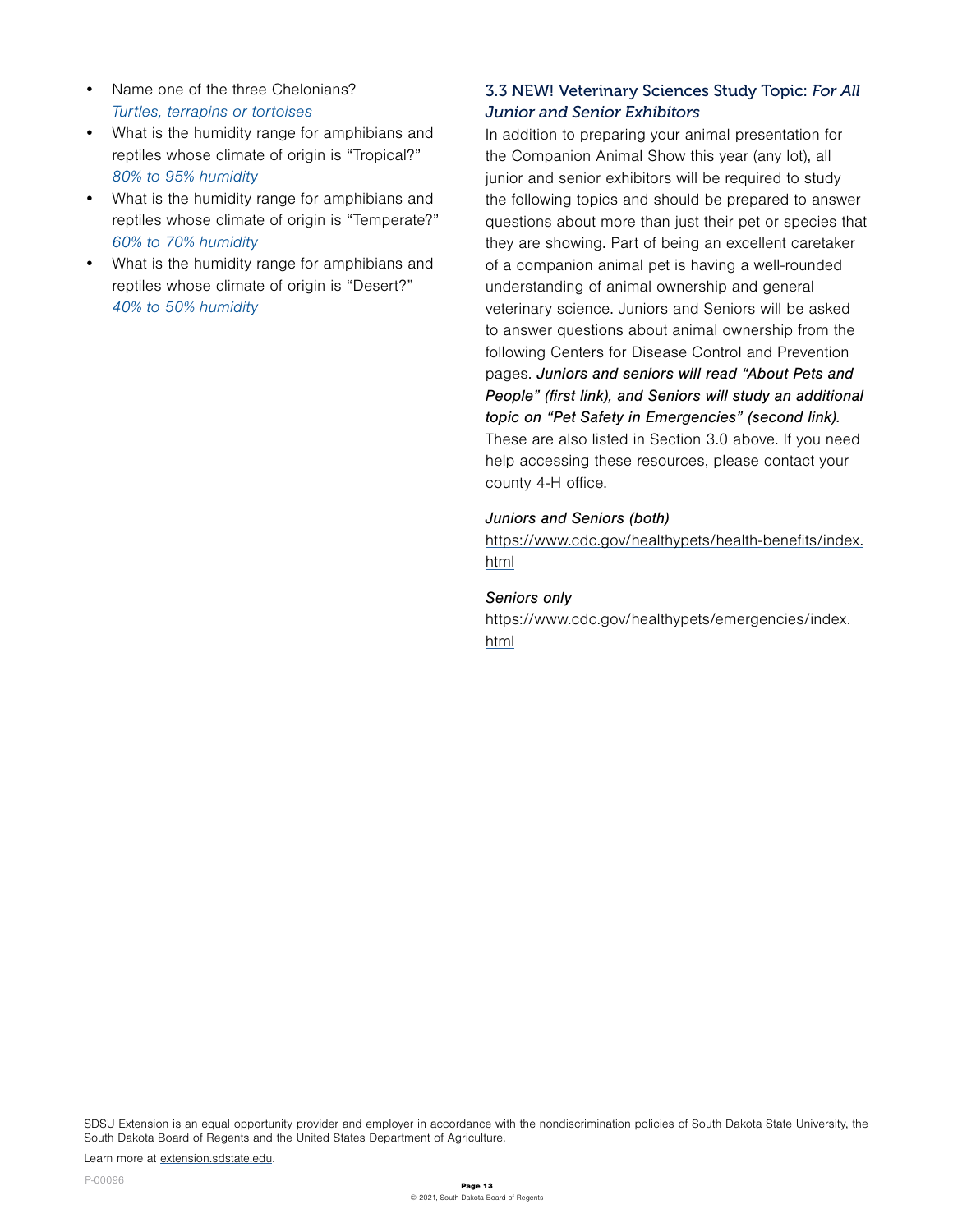- Name one of the three Chelonians? Turtles, terrapins or tortoises
- What is the humidity range for amphibians and reptiles whose climate of origin is "Tropical?" 80% to 95% humidity
- What is the humidity range for amphibians and reptiles whose climate of origin is "Temperate?" 60% to 70% humidity
- What is the humidity range for amphibians and reptiles whose climate of origin is "Desert?" 40% to 50% humidity

## 3.3 NEW! Veterinary Sciences Study Topic: *For All Junior and Senior Exhibitors*

In addition to preparing your animal presentation for the Companion Animal Show this year (any lot), all junior and senior exhibitors will be required to study the following topics and should be prepared to answer questions about more than just their pet or species that they are showing. Part of being an excellent caretaker of a companion animal pet is having a well-rounded understanding of animal ownership and general veterinary science. Juniors and Seniors will be asked to answer questions about animal ownership from the following Centers for Disease Control and Prevention pages. *Juniors and seniors will read "About Pets and People" (first link), and Seniors will study an additional topic on "Pet Safety in Emergencies" (second link).* These are also listed in Section 3.0 above. If you need help accessing these resources, please contact your county 4-H office.

#### *Juniors and Seniors (both)*

[https://www.cdc.gov/healthypets/health-benefits/index.](https://www.cdc.gov/healthypets/health-benefits/index.html) [html](https://www.cdc.gov/healthypets/health-benefits/index.html)

#### *Seniors only*

[https://www.cdc.gov/healthypets/emergencies/index.](https://www.cdc.gov/healthypets/emergencies/index.html) [html](https://www.cdc.gov/healthypets/emergencies/index.html)

SDSU Extension is an equal opportunity provider and employer in accordance with the nondiscrimination policies of South Dakota State University, the South Dakota Board of Regents and the United States Department of Agriculture.

Learn more at [extension.sdstate.edu.](http://extension.sdstate.edu)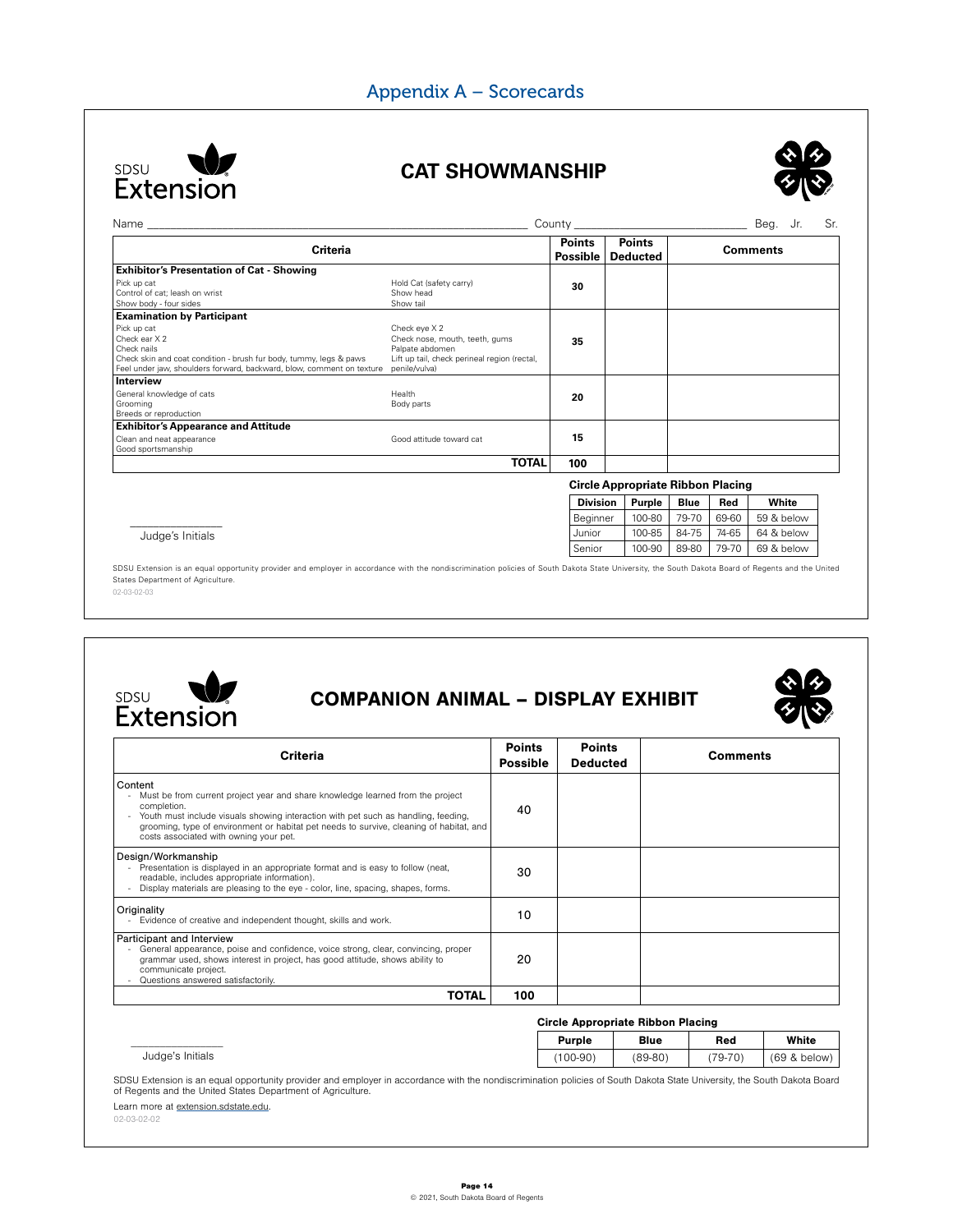## Appendix A – Scorecards



## **CAT SHOWMANSHIP**



| <b>Criteria</b>                                                                                                                                                                            |                                                                                                                                     | <b>Points</b><br>Possible | <b>Points</b><br><b>Deducted</b> | <b>Comments</b>                          |
|--------------------------------------------------------------------------------------------------------------------------------------------------------------------------------------------|-------------------------------------------------------------------------------------------------------------------------------------|---------------------------|----------------------------------|------------------------------------------|
| <b>Exhibitor's Presentation of Cat - Showing</b>                                                                                                                                           |                                                                                                                                     |                           |                                  |                                          |
| Pick up cat<br>Control of cat; leash on wrist<br>Show body - four sides                                                                                                                    | Hold Cat (safety carry)<br>Show head<br>Show tail                                                                                   | 30                        |                                  |                                          |
| <b>Examination by Participant</b>                                                                                                                                                          |                                                                                                                                     |                           |                                  |                                          |
| Pick up cat<br>Check ear X 2<br>Check nails<br>Check skin and coat condition - brush fur body, tummy, legs & paws<br>Feel under jaw, shoulders forward, backward, blow, comment on texture | Check eye X 2<br>Check nose, mouth, teeth, gums<br>Palpate abdomen<br>Lift up tail, check perineal region (rectal,<br>penile/vulva) | 35                        |                                  |                                          |
| Interview                                                                                                                                                                                  |                                                                                                                                     |                           |                                  |                                          |
| General knowledge of cats<br>Grooming<br>Breeds or reproduction                                                                                                                            | Health<br>Body parts                                                                                                                | 20                        |                                  |                                          |
| <b>Exhibitor's Appearance and Attitude</b>                                                                                                                                                 |                                                                                                                                     |                           |                                  |                                          |
| Clean and neat appearance<br>Good sportsmanship                                                                                                                                            | Good attitude toward cat                                                                                                            | 15                        |                                  |                                          |
|                                                                                                                                                                                            | <b>TOTAL</b>                                                                                                                        | 100                       |                                  |                                          |
|                                                                                                                                                                                            |                                                                                                                                     |                           |                                  | <b>Circle Appropriate Ribbon Placing</b> |

\_\_\_\_\_\_\_\_\_\_\_\_\_\_\_\_ Judge's Initials

02-03-02-03 SDSU Extension is an equal opportunity provider and employer in accordance with the nondiscrimination policies of South Dakota State University, the South Dakota Board of Regents and the United States Department of Agriculture.



# COMPANION ANIMAL – DISPLAY EXHIBIT



**Division Purple Blue Red White** Beginner | 100-80 | 79-70 | 69-60 | 59 & below Junior | 100-85 | 84-75 | 74-65 | 64 & below Senior | 100-90 | 89-80 | 79-70 | 69 & below

| <b>Criteria</b>                                                                                                                                                                                                                                                                                                                     | <b>Points</b><br><b>Possible</b> | <b>Points</b><br><b>Deducted</b> | <b>Comments</b> |
|-------------------------------------------------------------------------------------------------------------------------------------------------------------------------------------------------------------------------------------------------------------------------------------------------------------------------------------|----------------------------------|----------------------------------|-----------------|
| Content<br>Must be from current project year and share knowledge learned from the project<br>completion.<br>Youth must include visuals showing interaction with pet such as handling, feeding,<br>grooming, type of environment or habitat pet needs to survive, cleaning of habitat, and<br>costs associated with owning your pet. | 40                               |                                  |                 |
| Design/Workmanship<br>Presentation is displayed in an appropriate format and is easy to follow (neat,<br>readable, includes appropriate information).<br>Display materials are pleasing to the eye - color, line, spacing, shapes, forms.                                                                                           | 30                               |                                  |                 |
| Originality<br>Evidence of creative and independent thought, skills and work.                                                                                                                                                                                                                                                       | 10                               |                                  |                 |
| Participant and Interview<br>General appearance, poise and confidence, voice strong, clear, convincing, proper<br>grammar used, shows interest in project, has good attitude, shows ability to<br>communicate project.<br>Questions answered satisfactorily.                                                                        | 20                               |                                  |                 |
| TOTAL                                                                                                                                                                                                                                                                                                                               | 100                              |                                  |                 |

#### Circle Appropriate Ribbon Placing

| Judge's Initials | Purple     | <b>Blue</b> | Red       | White                    |
|------------------|------------|-------------|-----------|--------------------------|
|                  | $(100-90)$ | $(89 - 80)$ | $(79-70)$ | (69<br>$\Omega$<br>below |

SDSU Extension is an equal opportunity provider and employer in accordance with the nondiscrimination policies of South Dakota State University, the South Dakota Board of Regents and the United States Department of Agriculture.

Learn more at extension.sdstate.edu.

02-03-02-02